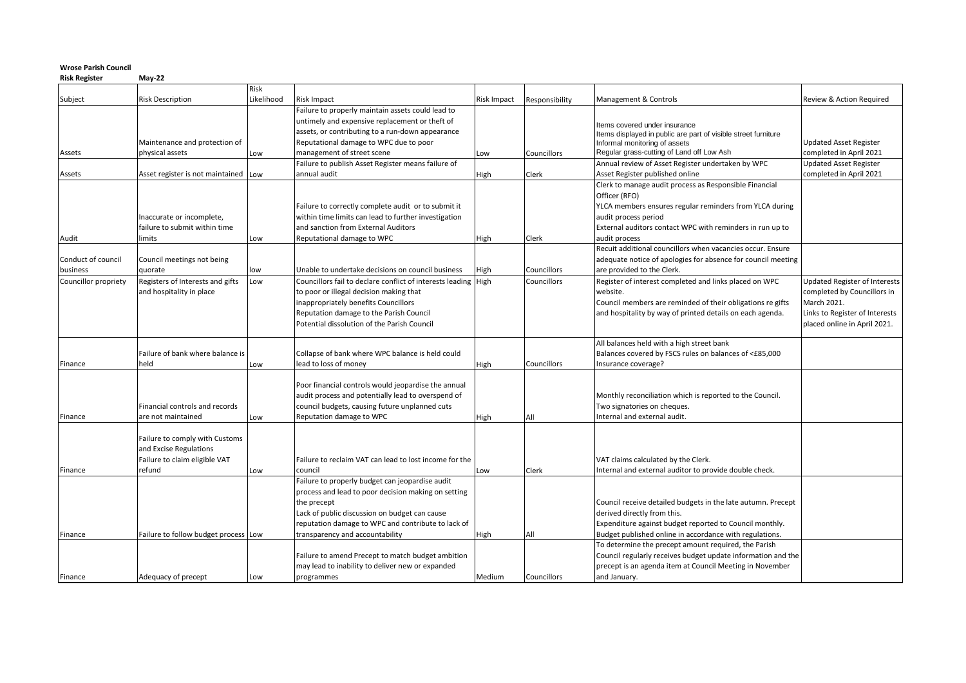## **Wrose Parish Council**

**Risk Register May-22**

|                      | <b>Risk Description</b>                          | Risk<br>Likelihood | Risk Impact                                                                      | <b>Risk Impact</b> | Responsibility | Management & Controls                                                      | Review & Action Required                          |
|----------------------|--------------------------------------------------|--------------------|----------------------------------------------------------------------------------|--------------------|----------------|----------------------------------------------------------------------------|---------------------------------------------------|
| Subject              |                                                  |                    | Failure to properly maintain assets could lead to                                |                    |                |                                                                            |                                                   |
|                      |                                                  |                    | untimely and expensive replacement or theft of                                   |                    |                |                                                                            |                                                   |
|                      |                                                  |                    | assets, or contributing to a run-down appearance                                 |                    |                | Items covered under insurance                                              |                                                   |
|                      |                                                  |                    |                                                                                  |                    |                | Items displayed in public are part of visible street furniture             |                                                   |
|                      | Maintenance and protection of<br>physical assets |                    | Reputational damage to WPC due to poor                                           |                    | Councillors    | Informal monitoring of assets<br>Regular grass-cutting of Land off Low Ash | Updated Asset Register<br>completed in April 2021 |
| Assets               |                                                  | Low                | management of street scene<br>Failure to publish Asset Register means failure of | Low                |                | Annual review of Asset Register undertaken by WPC                          | <b>Updated Asset Register</b>                     |
| Assets               | Asset register is not maintained Low             |                    | annual audit                                                                     | High               | Clerk          | Asset Register published online                                            | completed in April 2021                           |
|                      |                                                  |                    |                                                                                  |                    |                | Clerk to manage audit process as Responsible Financial                     |                                                   |
|                      |                                                  |                    |                                                                                  |                    |                | Officer (RFO)                                                              |                                                   |
|                      |                                                  |                    | Failure to correctly complete audit or to submit it                              |                    |                | YLCA members ensures regular reminders from YLCA during                    |                                                   |
|                      | Inaccurate or incomplete,                        |                    | within time limits can lead to further investigation                             |                    |                | audit process period                                                       |                                                   |
|                      | failure to submit within time                    |                    | and sanction from External Auditors                                              |                    |                | External auditors contact WPC with reminders in run up to                  |                                                   |
| Audit                | limits                                           | Low                | Reputational damage to WPC                                                       | High               | Clerk          | audit process                                                              |                                                   |
|                      |                                                  |                    |                                                                                  |                    |                | Recuit additional councillors when vacancies occur. Ensure                 |                                                   |
| Conduct of council   | Council meetings not being                       |                    |                                                                                  |                    |                | adequate notice of apologies for absence for council meeting               |                                                   |
| business             | quorate                                          | low                | Unable to undertake decisions on council business                                | High               | Councillors    | are provided to the Clerk.                                                 |                                                   |
| Councillor propriety | Registers of Interests and gifts                 | Low                | Councillors fail to declare conflict of interests leading High                   |                    | Councillors    | Register of interest completed and links placed on WPC                     | <b>Updated Register of Interests</b>              |
|                      | and hospitality in place                         |                    | to poor or illegal decision making that                                          |                    |                | website.                                                                   | completed by Councillors in                       |
|                      |                                                  |                    | nappropriately benefits Councillors                                              |                    |                | Council members are reminded of their obligations re gifts                 | March 2021.                                       |
|                      |                                                  |                    | Reputation damage to the Parish Council                                          |                    |                | and hospitality by way of printed details on each agenda.                  | Links to Register of Interests                    |
|                      |                                                  |                    | Potential dissolution of the Parish Council                                      |                    |                |                                                                            | placed online in April 2021.                      |
|                      |                                                  |                    |                                                                                  |                    |                |                                                                            |                                                   |
|                      |                                                  |                    |                                                                                  |                    |                | All balances held with a high street bank                                  |                                                   |
|                      | Failure of bank where balance is                 |                    | Collapse of bank where WPC balance is held could                                 |                    |                | Balances covered by FSCS rules on balances of <£85,000                     |                                                   |
| Finance              | held                                             | Low                | ead to loss of money                                                             | High               | Councillors    | Insurance coverage?                                                        |                                                   |
|                      |                                                  |                    |                                                                                  |                    |                |                                                                            |                                                   |
|                      |                                                  |                    | Poor financial controls would jeopardise the annual                              |                    |                |                                                                            |                                                   |
|                      |                                                  |                    | audit process and potentially lead to overspend of                               |                    |                | Monthly reconciliation which is reported to the Council.                   |                                                   |
|                      | Financial controls and records                   |                    | council budgets, causing future unplanned cuts                                   |                    |                | Two signatories on cheques.                                                |                                                   |
| Finance              | are not maintained                               | Low                | Reputation damage to WPC                                                         | High               | All            | Internal and external audit.                                               |                                                   |
|                      | Failure to comply with Customs                   |                    |                                                                                  |                    |                |                                                                            |                                                   |
|                      | and Excise Regulations                           |                    |                                                                                  |                    |                |                                                                            |                                                   |
|                      | Failure to claim eligible VAT                    |                    | Failure to reclaim VAT can lead to lost income for the                           |                    |                | VAT claims calculated by the Clerk.                                        |                                                   |
| Finance              | refund                                           | Low                | council                                                                          | Low                | Clerk          | Internal and external auditor to provide double check.                     |                                                   |
|                      |                                                  |                    | Failure to properly budget can jeopardise audit                                  |                    |                |                                                                            |                                                   |
|                      |                                                  |                    | process and lead to poor decision making on setting                              |                    |                |                                                                            |                                                   |
|                      |                                                  |                    | the precept                                                                      |                    |                | Council receive detailed budgets in the late autumn. Precept               |                                                   |
|                      |                                                  |                    | Lack of public discussion on budget can cause                                    |                    |                | derived directly from this.                                                |                                                   |
|                      |                                                  |                    | eputation damage to WPC and contribute to lack of                                |                    |                | Expenditure against budget reported to Council monthly.                    |                                                   |
| Finance              | Failure to follow budget process Low             |                    | transparency and accountability                                                  | High               | All            | Budget published online in accordance with regulations.                    |                                                   |
|                      |                                                  |                    |                                                                                  |                    |                | To determine the precept amount required, the Parish                       |                                                   |
|                      |                                                  |                    | Failure to amend Precept to match budget ambition                                |                    |                | Council regularly receives budget update information and the               |                                                   |
|                      |                                                  |                    | may lead to inability to deliver new or expanded                                 |                    |                | precept is an agenda item at Council Meeting in November                   |                                                   |
| Finance              | Adequacy of precept                              | Low                | programmes                                                                       | Medium             | Councillors    | and January.                                                               |                                                   |